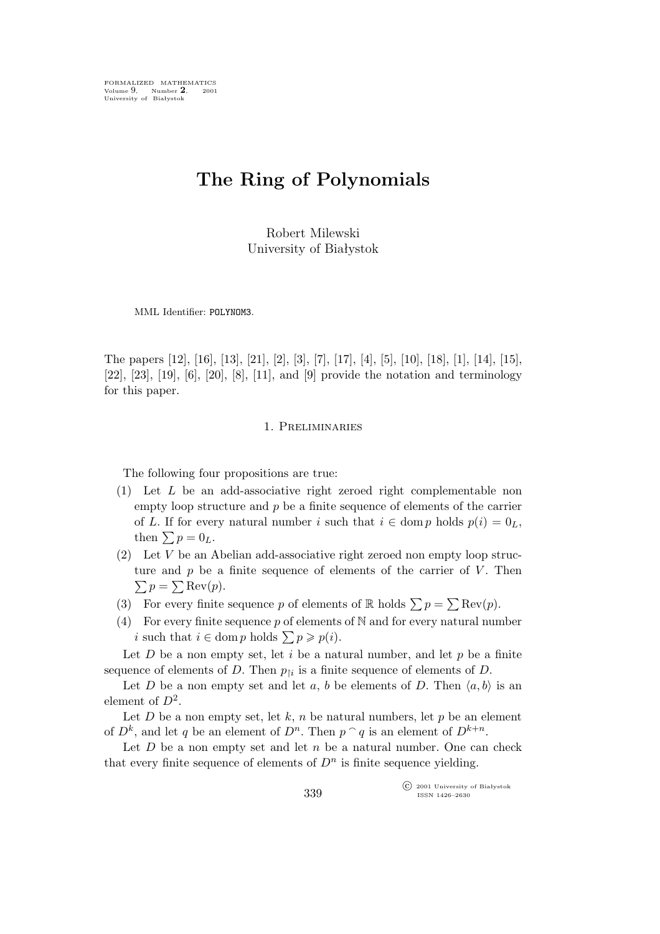FORMALIZED MATHEMATICS Volume 9, Number 2, 2001<br>University of Białystok

# **The Ring of Polynomials**

Robert Milewski University of Białystok

MML Identifier: POLYNOM3.

The papers [12], [16], [13], [21], [2], [3], [7], [17], [4], [5], [10], [18], [1], [14], [15], [22], [23], [19], [6], [20], [8], [11], and [9] provide the notation and terminology for this paper.

#### 1. Preliminaries

The following four propositions are true:

- (1) Let L be an add-associative right zeroed right complementable non empty loop structure and  $p$  be a finite sequence of elements of the carrier of L. If for every natural number i such that  $i \in \text{dom } p$  holds  $p(i) = 0_L$ , then  $\sum p = 0_L$ .
- (2) Let V be an Abelian add-associative right zeroed non empty loop struc- $\sum p = \sum \text{Rev}(p).$ ture and  $p$  be a finite sequence of elements of the carrier of  $V$ . Then
- (3) For every finite sequence p of elements of R holds  $\sum p = \sum \text{Rev}(p)$ .
- (4) For every finite sequence p of elements of  $\mathbb N$  and for every natural number *i* such that  $i \in \text{dom } p$  holds  $\sum p \geqslant p(i)$ .

Let  $D$  be a non empty set, let  $i$  be a natural number, and let  $p$  be a finite sequence of elements of D. Then  $p_{\uparrow i}$  is a finite sequence of elements of D.

Let D be a non empty set and let a, b be elements of D. Then  $\langle a, b \rangle$  is an element of  $D^2$ .

Let  $D$  be a non empty set, let  $k$ ,  $n$  be natural numbers, let  $p$  be an element of  $D^k$ , and let q be an element of  $D^n$ . Then  $p \cap q$  is an element of  $D^{k+n}$ .

Let  $D$  be a non empty set and let  $n$  be a natural number. One can check that every finite sequence of elements of  $D<sup>n</sup>$  is finite sequence yielding.

> °c 2001 University of Białystok ISSN 1426–2630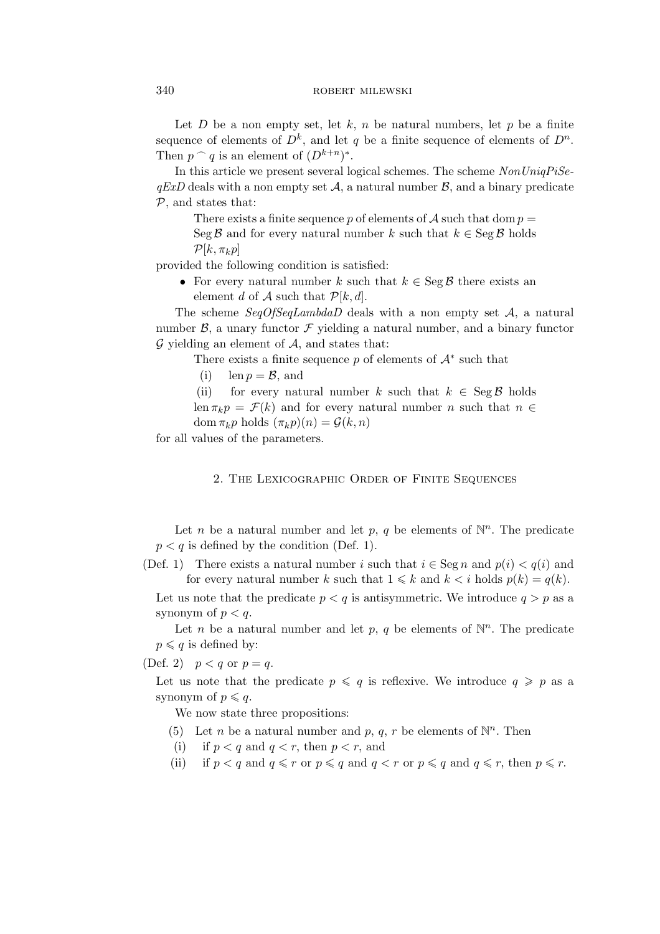Let  $D$  be a non empty set, let  $k$ ,  $n$  be natural numbers, let  $p$  be a finite sequence of elements of  $D^k$ , and let q be a finite sequence of elements of  $D^n$ . Then  $p \cap q$  is an element of  $(D^{k+n})^*$ .

In this article we present several logical schemes. The scheme *NonUniqPiSe* $qExD$  deals with a non empty set  $A$ , a natural number  $B$ , and a binary predicate *P*, and states that:

There exists a finite sequence p of elements of  $A$  such that dom  $p =$ Seg  $\beta$  and for every natural number k such that  $k \in \text{Seg } \beta$  holds  $\mathcal{P}[k, \pi_k p]$ 

provided the following condition is satisfied:

*•* For every natural number k such that k *∈* Seg *B* there exists an element d of  $A$  such that  $P[k, d]$ .

The scheme *SeqOfSeqLambdaD* deals with a non empty set *A*, a natural number  $\beta$ , a unary functor  $\mathcal F$  yielding a natural number, and a binary functor  $G$  yielding an element of  $A$ , and states that:

There exists a finite sequence  $p$  of elements of  $\mathcal{A}^*$  such that

(i)  $\ln p = \mathcal{B}$ , and

(ii) for every natural number k such that  $k \in \text{Seg } \mathcal{B}$  holds

len  $\pi_k p = \mathcal{F}(k)$  and for every natural number *n* such that  $n \in$ dom  $\pi_k p$  holds  $(\pi_k p)(n) = \mathcal{G}(k, n)$ 

for all values of the parameters.

2. The Lexicographic Order of Finite Sequences

Let *n* be a natural number and let *p*, *q* be elements of  $\mathbb{N}^n$ . The predicate  $p < q$  is defined by the condition (Def. 1).

(Def. 1) There exists a natural number i such that  $i \in \text{Seg } n$  and  $p(i) < q(i)$  and for every natural number k such that  $1 \leq k$  and  $k < i$  holds  $p(k) = q(k)$ .

Let us note that the predicate  $p < q$  is antisymmetric. We introduce  $q > p$  as a synonym of  $p < q$ .

Let *n* be a natural number and let *p*, *q* be elements of  $\mathbb{N}^n$ . The predicate  $p \leqslant q$  is defined by:

(Def. 2)  $p < q$  or  $p = q$ .

Let us note that the predicate  $p \leqslant q$  is reflexive. We introduce  $q \geqslant p$  as a synonym of  $p \leqslant q$ .

We now state three propositions:

- (5) Let *n* be a natural number and *p*, *q*, *r* be elements of  $\mathbb{N}^n$ . Then
- (i) if  $p < q$  and  $q < r$ , then  $p < r$ , and
- (ii) if  $p < q$  and  $q \leq r$  or  $p \leq q$  and  $q < r$  or  $p \leq q$  and  $q \leq r$ , then  $p \leq r$ .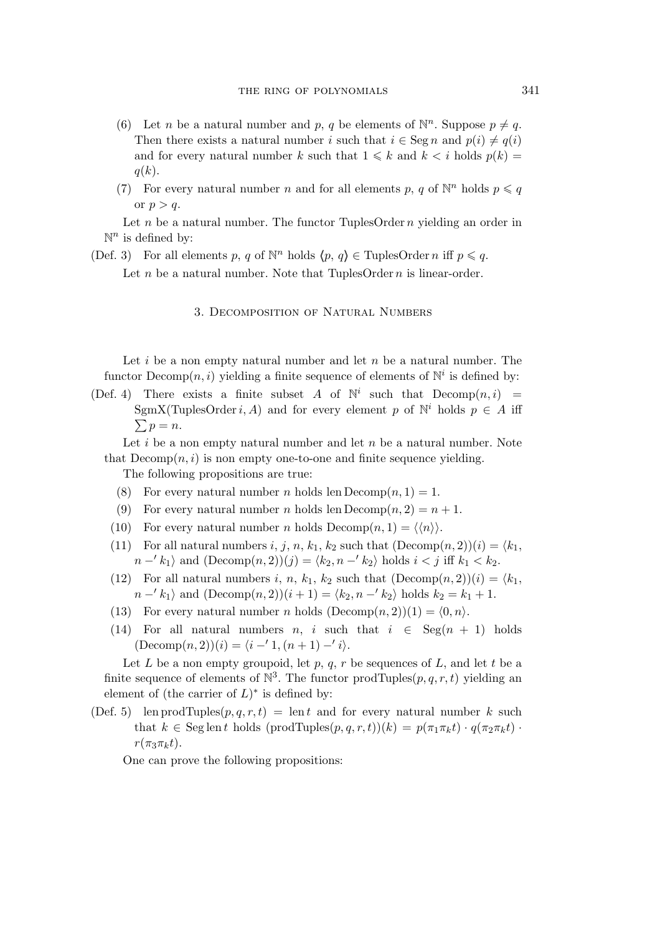- (6) Let *n* be a natural number and *p*, *q* be elements of  $\mathbb{N}^n$ . Suppose  $p \neq q$ . Then there exists a natural number i such that  $i \in \text{Seg } n$  and  $p(i) \neq q(i)$ and for every natural number k such that  $1 \leq k$  and  $k < i$  holds  $p(k) =$  $q(k)$ .
- (7) For every natural number *n* and for all elements *p*, *q* of  $\mathbb{N}^n$  holds  $p \leq q$ or  $p > q$ .

Let n be a natural number. The functor TuplesOrder  $n$  yielding an order in  $\mathbb{N}^n$  is defined by:

(Def. 3) For all elements p, q of  $\mathbb{N}^n$  holds  $\langle p, q \rangle \in \text{TuplesOrder } n \text{ iff } p \leq q$ . Let  $n$  be a natural number. Note that TuplesOrder  $n$  is linear-order.

3. Decomposition of Natural Numbers

Let  $i$  be a non empty natural number and let  $n$  be a natural number. The functor  $\mathbf{Decomp}(n, i)$  yielding a finite sequence of elements of  $\mathbb{N}^i$  is defined by:

(Def. 4) There exists a finite subset A of  $\mathbb{N}^i$  such that  $Decomp(n,i)$  = SgmX(TuplesOrder *i*, *A*) and for every element p of  $\mathbb{N}^i$  holds  $p \in A$  iff  $\sum p = n.$ 

Let  $i$  be a non empty natural number and let  $n$  be a natural number. Note that  $Decomp(n, i)$  is non empty one-to-one and finite sequence yielding.

The following propositions are true:

- (8) For every natural number *n* holds len  $Decomp(n, 1) = 1$ .
- (9) For every natural number *n* holds len  $Decomp(n, 2) = n + 1$ .
- (10) For every natural number *n* holds  $Decomp(n, 1) = \langle \langle n \rangle \rangle$ .
- (11) For all natural numbers i, j, n, k<sub>1</sub>, k<sub>2</sub> such that  $(Decomp(n, 2))(i) = \langle k_1, k_2 \rangle$ *n* −′ k<sub>1</sub> $\rangle$  and (Decomp $(n, 2)(j) = \langle k_2, n - k_2 \rangle$  holds  $i < j$  iff  $k_1 < k_2$ .
- (12) For all natural numbers i, n,  $k_1$ ,  $k_2$  such that  $(Decomp(n, 2))(i) = \langle k_1, k_2 \rangle$  $n -' k_1$  and  $(Decomp(n, 2))(i + 1) = \langle k_2, n -' k_2 \rangle$  holds  $k_2 = k_1 + 1$ .
- (13) For every natural number *n* holds  $(Decomp(n, 2))(1) = \langle 0, n \rangle$ .
- (14) For all natural numbers *n*, *i* such that  $i \in \text{Seg}(n + 1)$  holds  $(Decomp(n, 2))(i) = \langle i - 1, (n + 1) - 1 \rangle.$

Let L be a non empty groupoid, let p, q, r be sequences of L, and let t be a finite sequence of elements of  $\mathbb{N}^3$ . The functor prodTuples $(p, q, r, t)$  yielding an element of (the carrier of  $L$ )<sup>\*</sup> is defined by:

(Def. 5) len prodTuples $(p,q,r,t) = \text{len } t$  and for every natural number k such that  $k \in \text{Seg} \text{len } t$  holds  $(\text{prodTuples}(p, q, r, t))(k) = p(\pi_1 \pi_k t) \cdot q(\pi_2 \pi_k t)$ .  $r(\pi_3\pi_kt)$ .

One can prove the following propositions: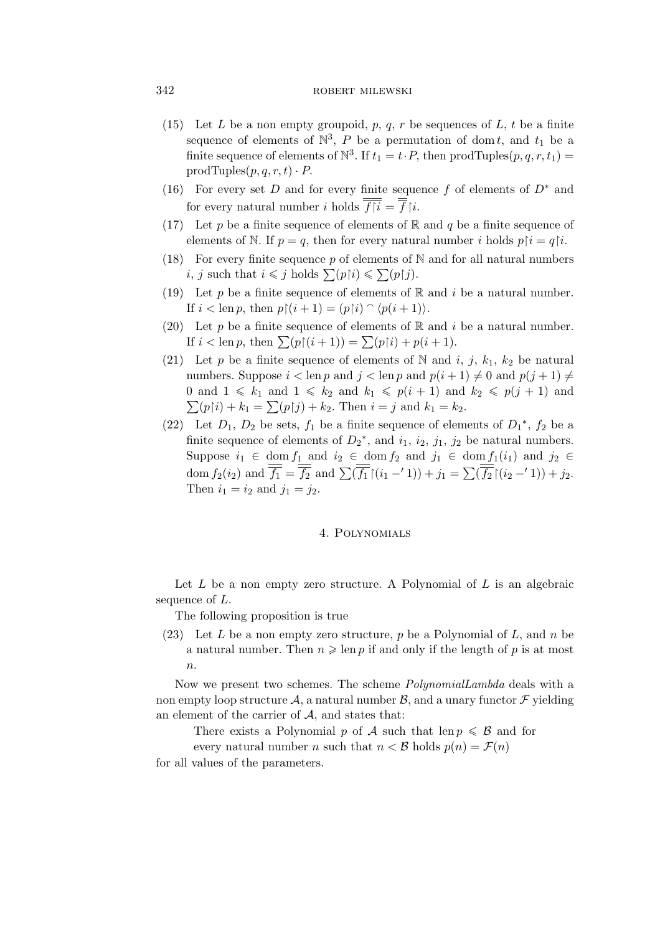## 342 ROBERT MILEWSKI

- (15) Let L be a non empty groupoid, p, q, r be sequences of L, t be a finite sequence of elements of  $\mathbb{N}^3$ , P be a permutation of dom t, and  $t_1$  be a finite sequence of elements of  $\mathbb{N}^3$ . If  $t_1 = t \cdot P$ , then prodTuples $(p, q, r, t_1) =$ prodTuples $(p,q,r,t) \cdot P$ .
- (16) For every set D and for every finite sequence f of elements of D*<sup>∗</sup>* and for every natural number *i* holds  $\overline{f|i} = \overline{f}|i$ .
- (17) Let p be a finite sequence of elements of  $\mathbb R$  and q be a finite sequence of elements of N. If  $p = q$ , then for every natural number i holds  $p[i = q[i]$ .
- (18) For every finite sequence  $p$  of elements of N and for all natural numbers *i*, *j* such that  $i \leq j$  holds  $\sum (p \upharpoonright i) \leq \sum (p \upharpoonright j)$ .
- (19) Let p be a finite sequence of elements of  $\mathbb R$  and i be a natural number. If  $i < \operatorname{len} p$ , then  $p \upharpoonright (i + 1) = (p \upharpoonright i) \cap \langle p(i + 1) \rangle$ .
- (20) Let p be a finite sequence of elements of R and i be a natural number. If  $i < \text{len } p$ , then  $\sum (p \restriction (i + 1)) = \sum (p \restriction i) + p(i + 1)$ .
- (21) Let p be a finite sequence of elements of N and i, j,  $k_1$ ,  $k_2$  be natural numbers. Suppose  $i < \text{len } p$  and  $j < \text{len } p$  and  $p(i + 1) \neq 0$  and  $p(j + 1) \neq 0$ 0 and  $1 \leq k_1$  and  $1 \leq k_2$  and  $k_1 \leq p(i+1)$  and  $k_2 \leq p(j+1)$  and  $\sum(p[i] + k_1 = \sum(p[j] + k_2)$ . Then  $i = j$  and  $k_1 = k_2$ .
- (22) Let  $D_1$ ,  $D_2$  be sets,  $f_1$  be a finite sequence of elements of  $D_1^*$ ,  $f_2$  be a finite sequence of elements of  $D_2^*$ , and  $i_1$ ,  $i_2$ ,  $j_1$ ,  $j_2$  be natural numbers. Suppose  $i_1 \in \text{dom } f_1$  and  $i_2 \in \text{dom } f_2$  and  $j_1 \in \text{dom } f_1(i_1)$  and  $j_2 \in$ dom  $f_2(i_2)$  and  $\overline{f_1} = \overline{f_2}$  and  $\sum (\overline{f_1} \mid (i_1 - '1)) + j_1 = \sum (\overline{f_2} \mid (i_2 - '1)) + j_2$ . Then  $i_1 = i_2$  and  $j_1 = j_2$ .

## 4. Polynomials

Let  $L$  be a non empty zero structure. A Polynomial of  $L$  is an algebraic sequence of L.

The following proposition is true

(23) Let L be a non empty zero structure, p be a Polynomial of L, and n be a natural number. Then  $n \geqslant \text{len } p$  if and only if the length of p is at most  $\overline{n}$ .

Now we present two schemes. The scheme *PolynomialLambda* deals with a non empty loop structure  $\mathcal{A}$ , a natural number  $\mathcal{B}$ , and a unary functor  $\mathcal{F}$  yielding an element of the carrier of *A*, and states that:

There exists a Polynomial p of A such that len  $p \leq \mathcal{B}$  and for every natural number *n* such that  $n < B$  holds  $p(n) = \mathcal{F}(n)$ 

for all values of the parameters.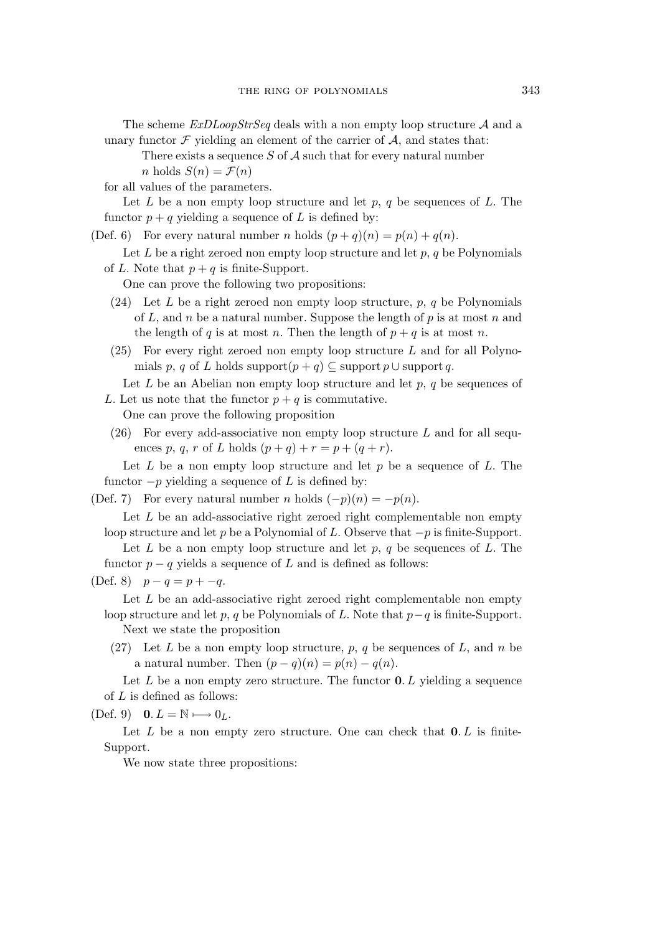The scheme *ExDLoopStrSeq* deals with a non empty loop structure *A* and a unary functor  $\mathcal F$  yielding an element of the carrier of  $\mathcal A$ , and states that:

There exists a sequence S of *A* such that for every natural number n holds  $S(n) = \mathcal{F}(n)$ 

for all values of the parameters.

Let  $L$  be a non empty loop structure and let  $p, q$  be sequences of  $L$ . The functor  $p + q$  yielding a sequence of L is defined by:

(Def. 6) For every natural number n holds  $(p+q)(n) = p(n) + q(n)$ .

Let  $L$  be a right zeroed non empty loop structure and let  $p, q$  be Polynomials of L. Note that  $p + q$  is finite-Support.

One can prove the following two propositions:

- (24) Let L be a right zeroed non empty loop structure,  $p, q$  be Polynomials of L, and n be a natural number. Suppose the length of  $p$  is at most  $n$  and the length of q is at most n. Then the length of  $p + q$  is at most n.
- $(25)$  For every right zeroed non empty loop structure L and for all Polynomials p, q of L holds support $(p+q) \subseteq$  support p  $\cup$  support q.

Let L be an Abelian non empty loop structure and let  $p$ , q be sequences of L. Let us note that the functor  $p + q$  is commutative.

One can prove the following proposition

 $(26)$  For every add-associative non empty loop structure L and for all sequences p, q, r of L holds  $(p+q) + r = p + (q+r)$ .

Let  $L$  be a non empty loop structure and let  $p$  be a sequence of  $L$ . The functor  $-p$  yielding a sequence of L is defined by:

(Def. 7) For every natural number *n* holds  $(-p)(n) = -p(n)$ .

Let  $L$  be an add-associative right zeroed right complementable non empty loop structure and let p be a Polynomial of L. Observe that *−*p is finite-Support.

Let  $L$  be a non empty loop structure and let  $p, q$  be sequences of  $L$ . The functor  $p - q$  yields a sequence of L and is defined as follows:

(Def. 8) p *−* q = p + *−*q.

Let  $L$  be an add-associative right zeroed right complementable non empty loop structure and let p, q be Polynomials of L. Note that p*−*q is finite-Support.

Next we state the proposition

(27) Let L be a non empty loop structure, p, q be sequences of L, and n be a natural number. Then  $(p - q)(n) = p(n) - q(n)$ .

Let  $L$  be a non empty zero structure. The functor  $0. L$  yielding a sequence of  $L$  is defined as follows:

 $(Def. 9)$  **0**.  $L = \mathbb{N} \longmapsto 0_L$ .

Let  $L$  be a non empty zero structure. One can check that  $0. L$  is finite-Support.

We now state three propositions: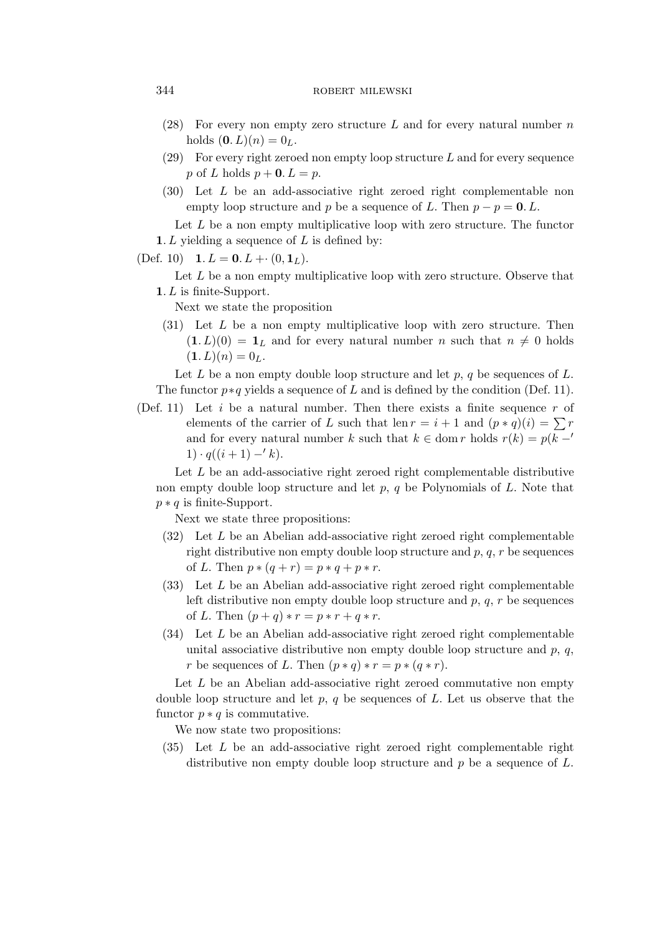# 344 ROBERT MILEWSKI

- (28) For every non empty zero structure L and for every natural number  $n$ holds  $(0, L)(n) = 0_L$ .
- $(29)$  For every right zeroed non empty loop structure L and for every sequence p of L holds  $p + 0$ .  $L = p$ .
- (30) Let L be an add-associative right zeroed right complementable non empty loop structure and p be a sequence of L. Then  $p - p = 0$ . L.

Let  $L$  be a non empty multiplicative loop with zero structure. The functor **1**. L yielding a sequence of L is defined by:

 $(\text{Def. } 10)$  **1**.  $L = 0$ .  $L + \cdot (0, 1_L)$ .

Let L be a non empty multiplicative loop with zero structure. Observe that **1**. L is finite-Support.

Next we state the proposition

(31) Let L be a non empty multiplicative loop with zero structure. Then  $(1. L)(0) = 1_L$  and for every natural number n such that  $n \neq 0$  holds  $(1. L)(n) = 0<sub>L</sub>.$ 

Let  $L$  be a non empty double loop structure and let  $p, q$  be sequences of  $L$ . The functor  $p * q$  yields a sequence of L and is defined by the condition (Def. 11).

(Def. 11) Let i be a natural number. Then there exists a finite sequence  $r$  of elements of the carrier of L such that len  $r = i + 1$  and  $(p * q)(i) = \sum r$ and for every natural number k such that  $k \in \text{dom } r$  holds  $r(k) = p(k - r)$ 1)  $\cdot$  q((i+1)  $-$ *′ k*).

Let  $L$  be an add-associative right zeroed right complementable distributive non empty double loop structure and let  $p, q$  be Polynomials of L. Note that p *∗* q is finite-Support.

Next we state three propositions:

- $(32)$  Let L be an Abelian add-associative right zeroed right complementable right distributive non empty double loop structure and  $p, q, r$  be sequences of *L*. Then  $p * (q + r) = p * q + p * r$ .
- $(33)$  Let L be an Abelian add-associative right zeroed right complementable left distributive non empty double loop structure and  $p, q, r$  be sequences of L. Then  $(p+q) * r = p * r + q * r$ .
- $(34)$  Let L be an Abelian add-associative right zeroed right complementable unital associative distributive non empty double loop structure and  $p, q$ , r be sequences of L. Then  $(p * q) * r = p * (q * r)$ .

Let  $L$  be an Abelian add-associative right zeroed commutative non empty double loop structure and let  $p, q$  be sequences of  $L$ . Let us observe that the functor  $p * q$  is commutative.

We now state two propositions:

(35) Let L be an add-associative right zeroed right complementable right distributive non empty double loop structure and  $p$  be a sequence of  $L$ .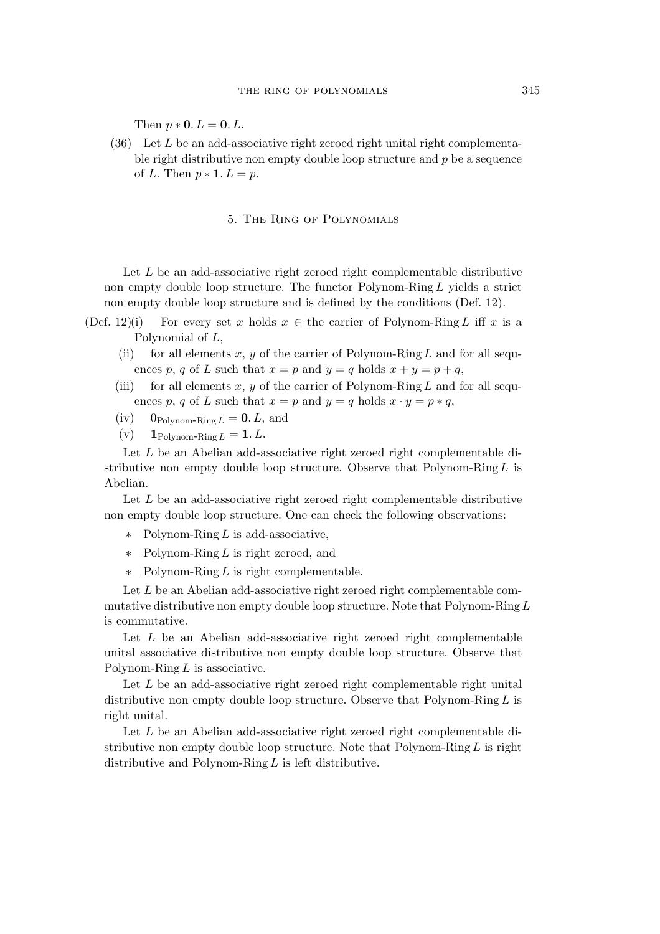Then  $p * 0$ .  $L = 0$ .  $L$ .

 $(36)$  Let L be an add-associative right zeroed right unital right complementable right distributive non empty double loop structure and  $p$  be a sequence of L. Then  $p * 1$ .  $L = p$ .

#### 5. The Ring of Polynomials

Let  $L$  be an add-associative right zeroed right complementable distributive non empty double loop structure. The functor Polynom-RingL yields a strict non empty double loop structure and is defined by the conditions (Def. 12).

- (Def. 12)(i) For every set x holds  $x \in \mathbb{R}$  the carrier of Polynom-Ring L iff x is a Polynomial of L,
	- (ii) for all elements x, y of the carrier of Polynom-Ring L and for all sequences p, q of L such that  $x = p$  and  $y = q$  holds  $x + y = p + q$ ,
	- (iii) for all elements x, y of the carrier of Polynom-Ring L and for all sequences p, q of L such that  $x = p$  and  $y = q$  holds  $x \cdot y = p * q$ ,
	- $(iv)$  0<sub>Polynom-Ring  $L = 0$ . L, and</sub>
	- (v)  $1_{\text{Polynom-Ring } L} = 1. L.$

Let L be an Abelian add-associative right zeroed right complementable distributive non empty double loop structure. Observe that Polynom-Ring  $L$  is Abelian.

Let L be an add-associative right zeroed right complementable distributive non empty double loop structure. One can check the following observations:

- *∗* Polynom-Ring L is add-associative,
- *∗* Polynom-Ring L is right zeroed, and
- *∗* Polynom-Ring L is right complementable.

Let L be an Abelian add-associative right zeroed right complementable commutative distributive non empty double loop structure. Note that Polynom-Ring  $L$ is commutative.

Let  $L$  be an Abelian add-associative right zeroed right complementable unital associative distributive non empty double loop structure. Observe that Polynom-Ring  $L$  is associative.

Let  $L$  be an add-associative right zeroed right complementable right unital distributive non empty double loop structure. Observe that Polynom-Ring  $L$  is right unital.

Let L be an Abelian add-associative right zeroed right complementable distributive non empty double loop structure. Note that Polynom-Ring  $L$  is right distributive and Polynom-Ring  $L$  is left distributive.